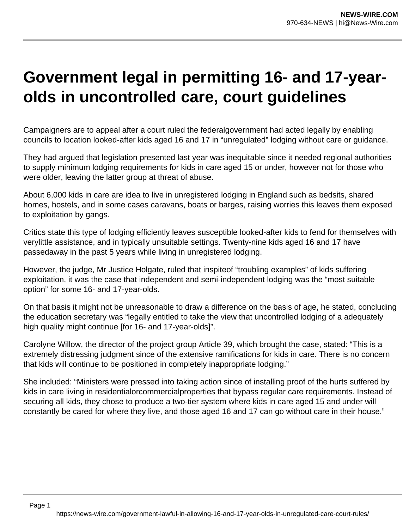## **Government legal in permitting 16- and 17-yearolds in uncontrolled care, court guidelines**

Campaigners are to appeal after a court ruled the federalgovernment had acted legally by enabling councils to location looked-after kids aged 16 and 17 in "unregulated" lodging without care or guidance.

They had argued that legislation presented last year was inequitable since it needed regional authorities to supply minimum lodging requirements for kids in care aged 15 or under, however not for those who were older, leaving the latter group at threat of abuse.

About 6,000 kids in care are idea to live in unregistered lodging in England such as bedsits, shared homes, hostels, and in some cases caravans, boats or barges, raising worries this leaves them exposed to exploitation by gangs.

Critics state this type of lodging efficiently leaves susceptible looked-after kids to fend for themselves with verylittle assistance, and in typically unsuitable settings. Twenty-nine kids aged 16 and 17 have passedaway in the past 5 years while living in unregistered lodging.

However, the judge, Mr Justice Holgate, ruled that inspiteof "troubling examples" of kids suffering exploitation, it was the case that independent and semi-independent lodging was the "most suitable option" for some 16- and 17-year-olds.

On that basis it might not be unreasonable to draw a difference on the basis of age, he stated, concluding the education secretary was "legally entitled to take the view that uncontrolled lodging of a adequately high quality might continue [for 16- and 17-year-olds]".

Carolyne Willow, the director of the project group Article 39, which brought the case, stated: "This is a extremely distressing judgment since of the extensive ramifications for kids in care. There is no concern that kids will continue to be positioned in completely inappropriate lodging."

She included: "Ministers were pressed into taking action since of installing proof of the hurts suffered by kids in care living in residentialorcommercialproperties that bypass regular care requirements. Instead of securing all kids, they chose to produce a two-tier system where kids in care aged 15 and under will constantly be cared for where they live, and those aged 16 and 17 can go without care in their house."